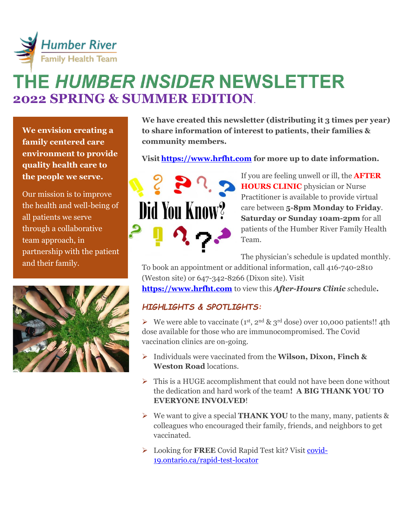

# THE *HUMBER INSIDER* NEWSLETTER **2022 SPRING & SUMMER EDITION**.

**We envision creating a family centered care environment to provide quality health care to the people we serve.** 

Our mission is to improve the health and well-being of all patients we serve through a collaborative team approach, in partnership with the patient and their family.



**We have created this newsletter (distributing it 3 times per year) to share information of interest to patients, their families & community members.** 

**Visit [https://www.hrfht.com](https://www.hrfht.com/) for more up to date information.** 



If you are feeling unwell or ill, the **AFTER HOURS CLINIC** physician or Nurse Practitioner is available to provide virtual care between **5-8pm Monday to Friday**. **Saturday or Sunday 10am-2pm** for all patients of the Humber River Family Health Team.

The physician's schedule is updated monthly.

To book an appointment or additional information, call 416-740-2810 (Weston site) or 647-342-8266 (Dixon site). Visit

**[https://www.hrfht.com](https://www.hrfht.com/)** to view this *After-Hours Clinic s*chedule**.** 

## *HIGHLIGHTS & SPOTLIGHTS:*

 $\triangleright$  We were able to vaccinate (1<sup>st</sup>, 2<sup>nd</sup> & 3<sup>rd</sup> dose) over 10,000 patients!! 4th dose available for those who are immunocompromised. The Covid vaccination clinics are on-going.

- ➢ Individuals were vaccinated from the **Wilson, Dixon, Finch & Weston Road** locations.
- $\triangleright$  This is a HUGE accomplishment that could not have been done without the dedication and hard work of the team**! A BIG THANK YOU TO EVERYONE INVOLVED**!
- ➢ We want to give a special **THANK YOU** to the many, many, patients & colleagues who encouraged their family, friends, and neighbors to get vaccinated.
- ➢ Looking for **FREE** Covid Rapid Test kit? Visit [covid-](https://covid-19.ontario.ca/rapid-test-locator)[19.ontario.ca/rapid-test-locator](https://covid-19.ontario.ca/rapid-test-locator)